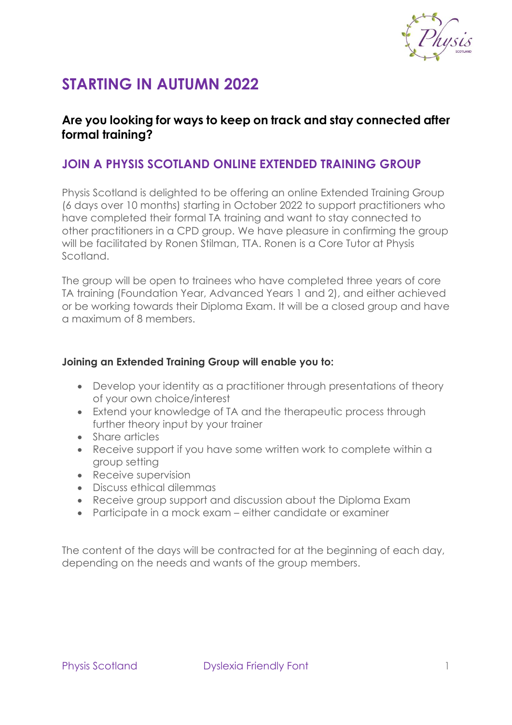

# **STARTING IN AUTUMN 2022**

## **Are you looking for ways to keep on track and stay connected after formal training?**

### **JOIN A PHYSIS SCOTLAND ONLINE EXTENDED TRAINING GROUP**

Physis Scotland is delighted to be offering an online Extended Training Group (6 days over 10 months) starting in October 2022 to support practitioners who have completed their formal TA training and want to stay connected to other practitioners in a CPD group. We have pleasure in confirming the group will be facilitated by Ronen Stilman, TTA. Ronen is a Core Tutor at Physis Scotland.

The group will be open to trainees who have completed three years of core TA training (Foundation Year, Advanced Years 1 and 2), and either achieved or be working towards their Diploma Exam. It will be a closed group and have a maximum of 8 members.

#### **Joining an Extended Training Group will enable you to:**

- Develop your identity as a practitioner through presentations of theory of your own choice/interest
- Extend your knowledge of TA and the therapeutic process through further theory input by your trainer
- Share articles
- Receive support if you have some written work to complete within a group setting
- Receive supervision
- Discuss ethical dilemmas
- Receive group support and discussion about the Diploma Exam
- Participate in a mock exam either candidate or examiner

The content of the days will be contracted for at the beginning of each day, depending on the needs and wants of the group members.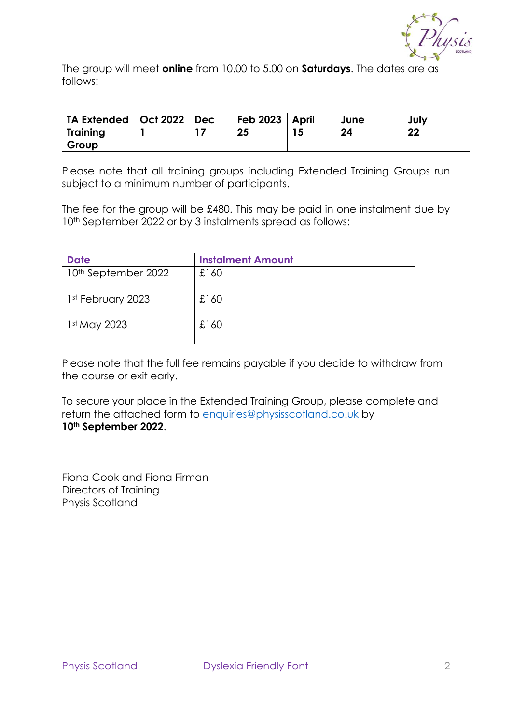

The group will meet **online** from 10.00 to 5.00 on **Saturdays**. The dates are as follows:

| TA Extended   Oct 2022   Dec |  | Feb $2023$   April | June | July |
|------------------------------|--|--------------------|------|------|
| Training                     |  | 25                 | 24   | 22   |
| Group                        |  |                    |      |      |

Please note that all training groups including Extended Training Groups run subject to a minimum number of participants.

The fee for the group will be £480. This may be paid in one instalment due by 10<sup>th</sup> September 2022 or by 3 instalments spread as follows:

| <b>Date</b>                     | <b>Instalment Amount</b> |
|---------------------------------|--------------------------|
| 10 <sup>th</sup> September 2022 | £160                     |
| 1st February 2023               | £160                     |
| 1st May 2023                    | £160                     |

Please note that the full fee remains payable if you decide to withdraw from the course or exit early.

To secure your place in the Extended Training Group, please complete and return the attached form to [enquiries@physisscotland.co.uk](mailto:enquiries@physisscotland.co.uk) by **10th September 2022**.

Fiona Cook and Fiona Firman Directors of Training Physis Scotland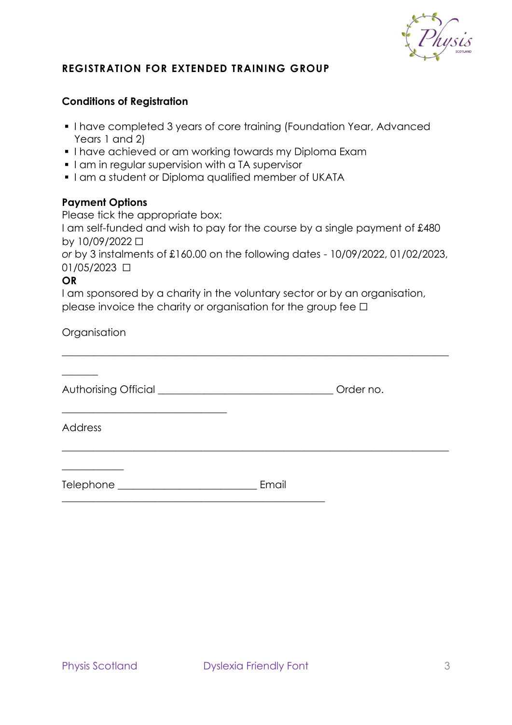

#### **REGISTRATION FOR EXTENDED TRAINING GROUP**

#### **Conditions of Registration**

- I have completed 3 years of core training (Foundation Year, Advanced Years 1 and 2)
- **.** I have achieved or am working towards my Diploma Exam
- **.** I am in regular supervision with a TA supervisor
- **.** I am a student or Diploma qualified member of UKATA

#### **Payment Options**

Please tick the appropriate box:

\_\_\_\_\_\_\_\_\_\_\_\_\_\_\_\_\_\_\_\_\_\_\_\_\_\_\_\_\_\_\_\_

I am self-funded and wish to pay for the course by a single payment of £480 by 10/09/2022 ☐

*or* by 3 instalments of £160.00 on the following dates - 10/09/2022, 01/02/2023, 01/05/2023 ☐

\_\_\_\_\_\_\_\_\_\_\_\_\_\_\_\_\_\_\_\_\_\_\_\_\_\_\_\_\_\_\_\_\_\_\_\_\_\_\_\_\_\_\_\_\_\_\_\_\_\_\_\_\_\_\_\_\_\_\_\_\_\_\_\_\_\_\_\_\_\_\_\_\_\_\_

 $\_$  , and the set of the set of the set of the set of the set of the set of the set of the set of the set of the set of the set of the set of the set of the set of the set of the set of the set of the set of the set of th

#### **OR**

I am sponsored by a charity in the voluntary sector or by an organisation, please invoice the charity or organisation for the group fee  $□$ 

**Organisation** 

Authorising Official \_\_\_\_\_\_\_\_\_\_\_\_\_\_\_\_\_\_\_\_\_\_\_\_\_\_\_\_\_\_\_\_\_\_ Order no.

Address

 $\overline{\phantom{a}}$  , where  $\overline{\phantom{a}}$ 

 $\overline{\phantom{a}}$ 

Telephone **Email** 

\_\_\_\_\_\_\_\_\_\_\_\_\_\_\_\_\_\_\_\_\_\_\_\_\_\_\_\_\_\_\_\_\_\_\_\_\_\_\_\_\_\_\_\_\_\_\_\_\_\_\_